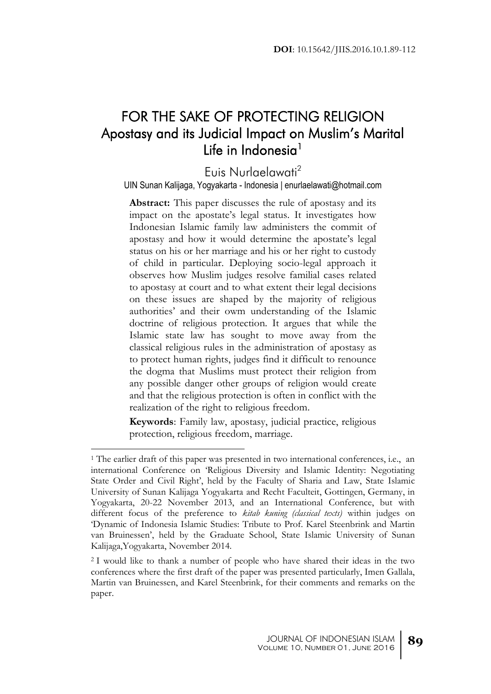# FOR THE SAKE OF PROTECTING RELIGION Apostasy and its Judicial Impact on Muslim's Marital Life in Indonesia<sup>1</sup>

## Euis Nurlaelawati<sup>2</sup>

#### UIN Sunan Kalijaga, Yogyakarta - Indonesia | enurlaelawati@hotmail.com

**Abstract:** This paper discusses the rule of apostasy and its impact on the apostate's legal status. It investigates how Indonesian Islamic family law administers the commit of apostasy and how it would determine the apostate's legal status on his or her marriage and his or her right to custody of child in particular. Deploying socio-legal approach it observes how Muslim judges resolve familial cases related to apostasy at court and to what extent their legal decisions on these issues are shaped by the majority of religious authorities' and their owm understanding of the Islamic doctrine of religious protection. It argues that while the Islamic state law has sought to move away from the classical religious rules in the administration of apostasy as to protect human rights, judges find it difficult to renounce the dogma that Muslims must protect their religion from any possible danger other groups of religion would create and that the religious protection is often in conflict with the realization of the right to religious freedom.

**Keywords**: Family law, apostasy, judicial practice, religious protection, religious freedom, marriage.

<sup>1</sup> The earlier draft of this paper was presented in two international conferences, i.e., an international Conference on 'Religious Diversity and Islamic Identity: Negotiating State Order and Civil Right', held by the Faculty of Sharia and Law, State Islamic University of Sunan Kalijaga Yogyakarta and Recht Faculteit, Gottingen, Germany, in Yogyakarta, 20-22 November 2013, and an International Conference, but with different focus of the preference to *kitab kuning (classical texts)* within judges on 'Dynamic of Indonesia Islamic Studies: Tribute to Prof. Karel Steenbrink and Martin van Bruinessen', held by the Graduate School, State Islamic University of Sunan Kalijaga,Yogyakarta, November 2014.

<sup>2</sup> I would like to thank a number of people who have shared their ideas in the two conferences where the first draft of the paper was presented particularly, Imen Gallala, Martin van Bruinessen, and Karel Steenbrink, for their comments and remarks on the paper.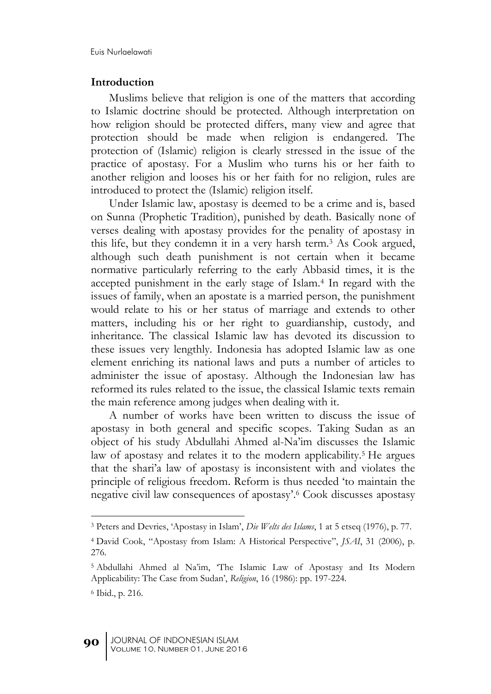#### **Introduction**

Muslims believe that religion is one of the matters that according to Islamic doctrine should be protected. Although interpretation on how religion should be protected differs, many view and agree that protection should be made when religion is endangered. The protection of (Islamic) religion is clearly stressed in the issue of the practice of apostasy. For a Muslim who turns his or her faith to another religion and looses his or her faith for no religion, rules are introduced to protect the (Islamic) religion itself.

Under Islamic law, apostasy is deemed to be a crime and is, based on Sunna (Prophetic Tradition), punished by death. Basically none of verses dealing with apostasy provides for the penality of apostasy in this life, but they condemn it in a very harsh term.<sup>3</sup> As Cook argued, although such death punishment is not certain when it became normative particularly referring to the early Abbasid times, it is the accepted punishment in the early stage of Islam.<sup>4</sup> In regard with the issues of family, when an apostate is a married person, the punishment would relate to his or her status of marriage and extends to other matters, including his or her right to guardianship, custody, and inheritance. The classical Islamic law has devoted its discussion to these issues very lengthly. Indonesia has adopted Islamic law as one element enriching its national laws and puts a number of articles to administer the issue of apostasy. Although the Indonesian law has reformed its rules related to the issue, the classical Islamic texts remain the main reference among judges when dealing with it.

A number of works have been written to discuss the issue of apostasy in both general and specific scopes. Taking Sudan as an object of his study Abdullahi Ahmed al-Na'im discusses the Islamic law of apostasy and relates it to the modern applicability.<sup>5</sup> He argues that the shari'a law of apostasy is inconsistent with and violates the principle of religious freedom. Reform is thus needed 'to maintain the negative civil law consequences of apostasy'. <sup>6</sup> Cook discusses apostasy

<sup>3</sup> Peters and Devries, 'Apostasy in Islam', *Die Welts des Islams*, 1 at 5 etseq (1976), p. 77.

<sup>4</sup> David Cook, "Apostasy from Islam: A Historical Perspective", *JSAI*, 31 (2006), p. 276.

<sup>5</sup> Abdullahi Ahmed al Na'im, 'The Islamic Law of Apostasy and Its Modern Applicability: The Case from Sudan', *Religion*, 16 (1986): pp. 197-224.

<sup>6</sup> Ibid., p. 216.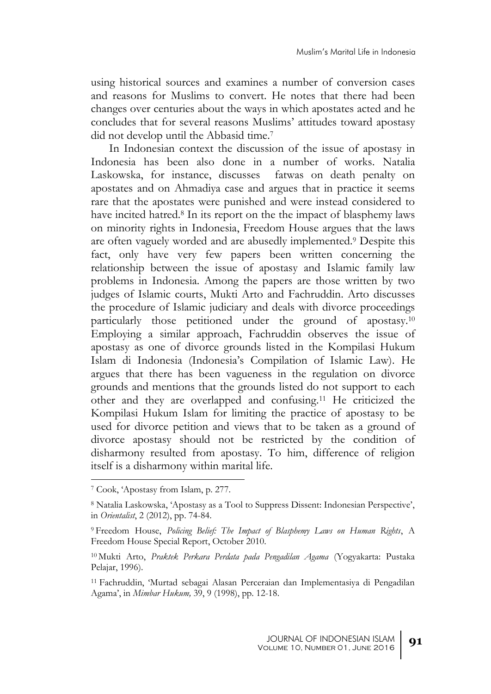using historical sources and examines a number of conversion cases and reasons for Muslims to convert. He notes that there had been changes over centuries about the ways in which apostates acted and he concludes that for several reasons Muslims' attitudes toward apostasy did not develop until the Abbasid time. 7

In Indonesian context the discussion of the issue of apostasy in Indonesia has been also done in a number of works. Natalia Laskowska, for instance, discusses fatwas on death penalty on apostates and on Ahmadiya case and argues that in practice it seems rare that the apostates were punished and were instead considered to have incited hatred.<sup>8</sup> In its report on the the impact of blasphemy laws on minority rights in Indonesia, Freedom House argues that the laws are often vaguely worded and are abusedly implemented.<sup>9</sup> Despite this fact, only have very few papers been written concerning the relationship between the issue of apostasy and Islamic family law problems in Indonesia. Among the papers are those written by two judges of Islamic courts, Mukti Arto and Fachruddin. Arto discusses the procedure of Islamic judiciary and deals with divorce proceedings particularly those petitioned under the ground of apostasy.<sup>10</sup> Employing a similar approach, Fachruddin observes the issue of apostasy as one of divorce grounds listed in the Kompilasi Hukum Islam di Indonesia (Indonesia's Compilation of Islamic Law). He argues that there has been vagueness in the regulation on divorce grounds and mentions that the grounds listed do not support to each other and they are overlapped and confusing.<sup>11</sup> He criticized the Kompilasi Hukum Islam for limiting the practice of apostasy to be used for divorce petition and views that to be taken as a ground of divorce apostasy should not be restricted by the condition of disharmony resulted from apostasy. To him, difference of religion itself is a disharmony within marital life.

<sup>7</sup> Cook, 'Apostasy from Islam, p. 277.

<sup>8</sup> Natalia Laskowska, 'Apostasy as a Tool to Suppress Dissent: Indonesian Perspective', in *Orientalist*, 2 (2012), pp. 74-84.

<sup>9</sup> Freedom House, *Policing Belief: The Impact of Blasphemy Laws on Human Rights*, A Freedom House Special Report, October 2010.

<sup>10</sup> Mukti Arto, *Praktek Perkara Perdata pada Pengadilan Agama* (Yogyakarta: Pustaka Pelajar, 1996).

<sup>11</sup> Fachruddin, 'Murtad sebagai Alasan Perceraian dan Implementasiya di Pengadilan Agama', in *Mimbar Hukum,* 39, 9 (1998), pp. 12-18.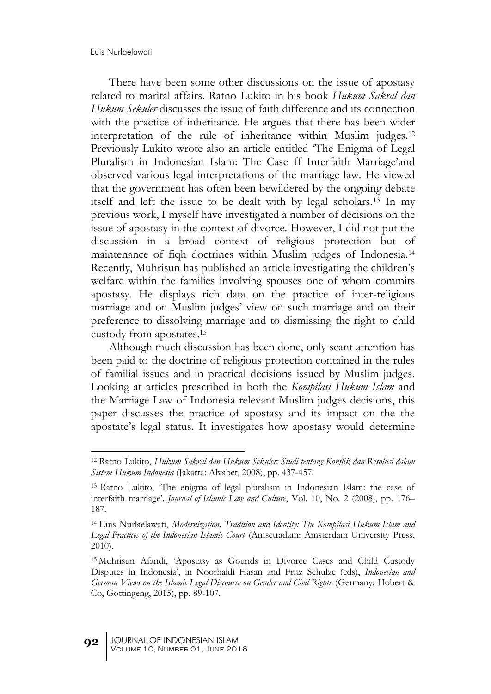1

There have been some other discussions on the issue of apostasy related to marital affairs. Ratno Lukito in his book *Hukum Sakral dan Hukum Sekuler* discusses the issue of faith difference and its connection with the practice of inheritance. He argues that there has been wider interpretation of the rule of inheritance within Muslim judges.<sup>12</sup> Previously Lukito wrote also an article entitled 'The Enigma of Legal Pluralism in Indonesian Islam: The Case ff Interfaith Marriage'and observed various legal interpretations of the marriage law. He viewed that the government has often been bewildered by the ongoing debate itself and left the issue to be dealt with by legal scholars.<sup>13</sup> In my previous work, I myself have investigated a number of decisions on the issue of apostasy in the context of divorce. However, I did not put the discussion in a broad context of religious protection but of maintenance of fiqh doctrines within Muslim judges of Indonesia.<sup>14</sup> Recently, Muhrisun has published an article investigating the children's welfare within the families involving spouses one of whom commits apostasy. He displays rich data on the practice of inter-religious marriage and on Muslim judges' view on such marriage and on their preference to dissolving marriage and to dismissing the right to child custody from apostates. 15

Although much discussion has been done, only scant attention has been paid to the doctrine of religious protection contained in the rules of familial issues and in practical decisions issued by Muslim judges. Looking at articles prescribed in both the *Kompilasi Hukum Islam* and the Marriage Law of Indonesia relevant Muslim judges decisions, this paper discusses the practice of apostasy and its impact on the the apostate's legal status. It investigates how apostasy would determine

<sup>12</sup> Ratno Lukito, *Hukum Sakral dan Hukum Sekuler: Studi tentang Konflik dan Resolusi dalam Sistem Hukum Indonesia* (Jakarta: Alvabet, 2008), pp. 437-457.

<sup>13</sup> Ratno Lukito, 'The enigma of legal pluralism in Indonesian Islam: the case of interfaith marriage'*, Journal of Islamic Law and Culture*, Vol. 10, No. 2 (2008), pp. 176– 187.

<sup>14</sup> Euis Nurlaelawati, *Modernization, Tradition and Identity: The Kompilasi Hukum Islam and Legal Practices of the Indonesian Islamic Court* (Amsetradam: Amsterdam University Press, 2010).

<sup>15</sup> Muhrisun Afandi, 'Apostasy as Gounds in Divorce Cases and Child Custody Disputes in Indonesia', in Noorhaidi Hasan and Fritz Schulze (eds), *Indonesian and German Views on the Islamic Legal Discourse on Gender and Civil Rights* (Germany: Hobert & Co, Gottingeng, 2015), pp. 89-107.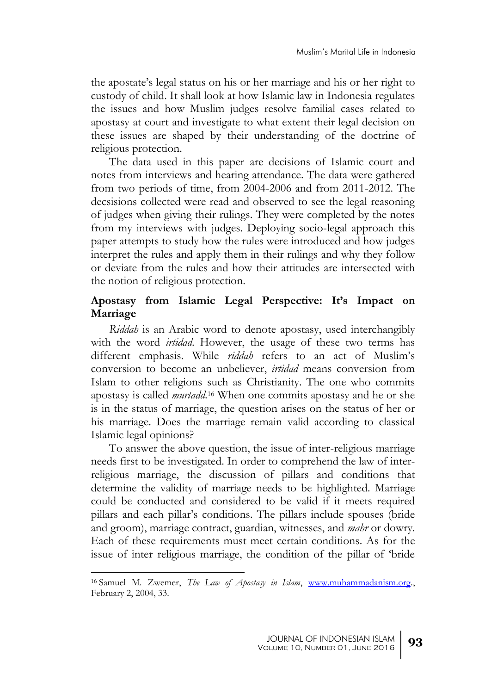the apostate's legal status on his or her marriage and his or her right to custody of child. It shall look at how Islamic law in Indonesia regulates the issues and how Muslim judges resolve familial cases related to apostasy at court and investigate to what extent their legal decision on these issues are shaped by their understanding of the doctrine of religious protection.

The data used in this paper are decisions of Islamic court and notes from interviews and hearing attendance. The data were gathered from two periods of time, from 2004-2006 and from 2011-2012. The decsisions collected were read and observed to see the legal reasoning of judges when giving their rulings. They were completed by the notes from my interviews with judges. Deploying socio-legal approach this paper attempts to study how the rules were introduced and how judges interpret the rules and apply them in their rulings and why they follow or deviate from the rules and how their attitudes are intersected with the notion of religious protection.

### **Apostasy from Islamic Legal Perspective: It's Impact on Marriage**

*Riddah* is an Arabic word to denote apostasy, used interchangibly with the word *irtidad*. However, the usage of these two terms has different emphasis. While *riddah* refers to an act of Muslim's conversion to become an unbeliever, *irtidad* means conversion from Islam to other religions such as Christianity. The one who commits apostasy is called *murtadd*. <sup>16</sup> When one commits apostasy and he or she is in the status of marriage, the question arises on the status of her or his marriage. Does the marriage remain valid according to classical Islamic legal opinions?

To answer the above question, the issue of inter-religious marriage needs first to be investigated. In order to comprehend the law of interreligious marriage, the discussion of pillars and conditions that determine the validity of marriage needs to be highlighted. Marriage could be conducted and considered to be valid if it meets required pillars and each pillar's conditions. The pillars include spouses (bride and groom), marriage contract, guardian, witnesses, and *mahr* or dowry. Each of these requirements must meet certain conditions. As for the issue of inter religious marriage, the condition of the pillar of 'bride

<sup>16</sup> Samuel M. Zwemer, *The Law of Apostasy in Islam*, [www.muhammadanism.org.,](http://www.muhammadanism.org/) February 2, 2004, 33.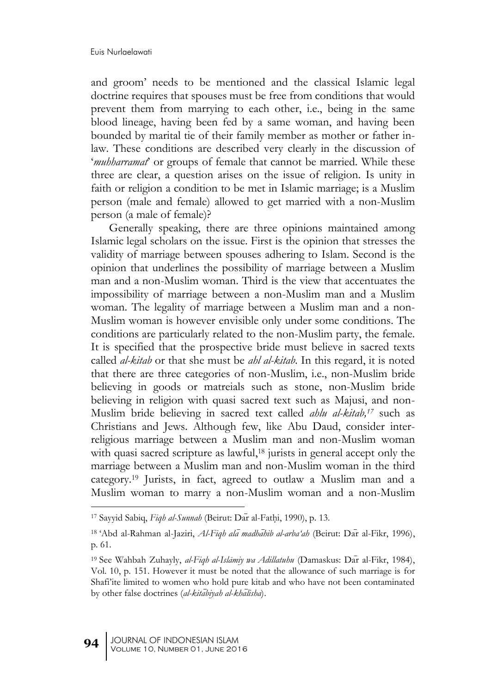and groom' needs to be mentioned and the classical Islamic legal doctrine requires that spouses must be free from conditions that would prevent them from marrying to each other, i.e., being in the same blood lineage, having been fed by a same woman, and having been bounded by marital tie of their family member as mother or father inlaw. These conditions are described very clearly in the discussion of '*muhharramat*' or groups of female that cannot be married. While these three are clear, a question arises on the issue of religion. Is unity in faith or religion a condition to be met in Islamic marriage; is a Muslim person (male and female) allowed to get married with a non-Muslim person (a male of female)?

Generally speaking, there are three opinions maintained among Islamic legal scholars on the issue. First is the opinion that stresses the validity of marriage between spouses adhering to Islam. Second is the opinion that underlines the possibility of marriage between a Muslim man and a non-Muslim woman. Third is the view that accentuates the impossibility of marriage between a non-Muslim man and a Muslim woman. The legality of marriage between a Muslim man and a non-Muslim woman is however envisible only under some conditions. The conditions are particularly related to the non-Muslim party, the female. It is specified that the prospective bride must believe in sacred texts called *al-kitab* or that she must be *ahl al-kitab*. In this regard, it is noted that there are three categories of non-Muslim, i.e., non-Muslim bride believing in goods or matreials such as stone, non-Muslim bride believing in religion with quasi sacred text such as Majusi, and non-Muslim bride believing in sacred text called *ahlu al-kitab, <sup>17</sup>* such as Christians and Jews. Although few, like Abu Daud, consider interreligious marriage between a Muslim man and non-Muslim woman with quasi sacred scripture as lawful, <sup>18</sup> jurists in general accept only the marriage between a Muslim man and non-Muslim woman in the third category.<sup>19</sup> Jurists, in fact, agreed to outlaw a Muslim man and a Muslim woman to marry a non-Muslim woman and a non-Muslim

<sup>&</sup>lt;sup>17</sup> Sayyid Sabiq, *Fiqh al-Sunnah* (Beirut: Dar al-Fathi, 1990), p. 13.

<sup>&</sup>lt;sup>18</sup> 'Abd al-Rahman al-Jaziri, *Al-Fiqh ala madhahib al-arba'ah* (Beirut: Dar al-Fikr, 1996), p. 61.

<sup>&</sup>lt;sup>19</sup> See Wahbah Zuhayly, *al-Fiqh al-Islāmiy wa Adillatuhu* (Damaskus: Dar al-Fikr, 1984), Vol. 10, p. 151. However it must be noted that the allowance of such marriage is for Shafi'ite limited to women who hold pure kitab and who have not been contaminated by other false doctrines (al-kitabiyah al-khalisha).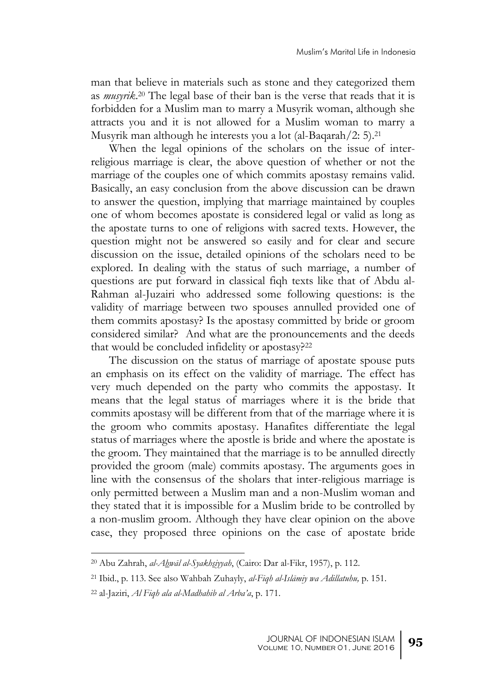man that believe in materials such as stone and they categorized them as *musyrik*. <sup>20</sup> The legal base of their ban is the verse that reads that it is forbidden for a Muslim man to marry a Musyrik woman, although she attracts you and it is not allowed for a Muslim woman to marry a Musyrik man although he interests you a lot (al-Baqarah/2: 5).<sup>21</sup>

When the legal opinions of the scholars on the issue of interreligious marriage is clear, the above question of whether or not the marriage of the couples one of which commits apostasy remains valid. Basically, an easy conclusion from the above discussion can be drawn to answer the question, implying that marriage maintained by couples one of whom becomes apostate is considered legal or valid as long as the apostate turns to one of religions with sacred texts. However, the question might not be answered so easily and for clear and secure discussion on the issue, detailed opinions of the scholars need to be explored. In dealing with the status of such marriage, a number of questions are put forward in classical fiqh texts like that of Abdu al-Rahman al-Juzairi who addressed some following questions: is the validity of marriage between two spouses annulled provided one of them commits apostasy? Is the apostasy committed by bride or groom considered similar? And what are the pronouncements and the deeds that would be concluded infidelity or apostasy?<sup>22</sup>

The discussion on the status of marriage of apostate spouse puts an emphasis on its effect on the validity of marriage. The effect has very much depended on the party who commits the appostasy. It means that the legal status of marriages where it is the bride that commits apostasy will be different from that of the marriage where it is the groom who commits apostasy. Hanafites differentiate the legal status of marriages where the apostle is bride and where the apostate is the groom. They maintained that the marriage is to be annulled directly provided the groom (male) commits apostasy. The arguments goes in line with the consensus of the sholars that inter-religious marriage is only permitted between a Muslim man and a non-Muslim woman and they stated that it is impossible for a Muslim bride to be controlled by a non-muslim groom. Although they have clear opinion on the above case, they proposed three opinions on the case of apostate bride

<sup>20</sup> Abu Zahrah, *al-Ahwāl al-Syakhsiyyah*, (Cairo: Dar al-Fikr, 1957), p. 112.

<sup>21</sup> Ibid., p. 113. See also Wahbah Zuhayly, *al-Fiqh al-Islāmiy wa Adillatuhu,* p. 151.

<sup>22</sup> al-Jaziri, *Al Fiqh ala al-Madhahib al Arba'a*, p. 171.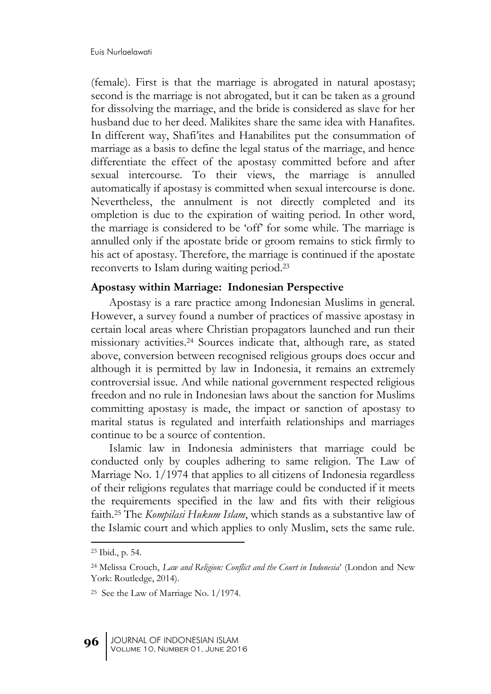(female). First is that the marriage is abrogated in natural apostasy; second is the marriage is not abrogated, but it can be taken as a ground for dissolving the marriage, and the bride is considered as slave for her husband due to her deed. Malikites share the same idea with Hanafites. In different way, Shafi'ites and Hanabilites put the consummation of marriage as a basis to define the legal status of the marriage, and hence differentiate the effect of the apostasy committed before and after sexual intercourse. To their views, the marriage is annulled automatically if apostasy is committed when sexual intercourse is done. Nevertheless, the annulment is not directly completed and its ompletion is due to the expiration of waiting period. In other word, the marriage is considered to be 'off' for some while. The marriage is annulled only if the apostate bride or groom remains to stick firmly to his act of apostasy. Therefore, the marriage is continued if the apostate reconverts to Islam during waiting period. 23

#### **Apostasy within Marriage: Indonesian Perspective**

Apostasy is a rare practice among Indonesian Muslims in general. However, a survey found a number of practices of massive apostasy in certain local areas where Christian propagators launched and run their missionary activities. <sup>24</sup> Sources indicate that, although rare, as stated above, conversion between recognised religious groups does occur and although it is permitted by law in Indonesia, it remains an extremely controversial issue. And while national government respected religious freedon and no rule in Indonesian laws about the sanction for Muslims committing apostasy is made, the impact or sanction of apostasy to marital status is regulated and interfaith relationships and marriages continue to be a source of contention.

Islamic law in Indonesia administers that marriage could be conducted only by couples adhering to same religion. The Law of Marriage No. 1/1974 that applies to all citizens of Indonesia regardless of their religions regulates that marriage could be conducted if it meets the requirements specified in the law and fits with their religious faith.<sup>25</sup> The *Kompilasi Hukum Islam*, which stands as a substantive law of the Islamic court and which applies to only Muslim, sets the same rule.

<sup>23</sup> Ibid., p. 54.

<sup>24</sup> Melissa Crouch, *Law and Religion: Conflict and the Court in Indonesia*' (London and New York: Routledge, 2014).

<sup>25</sup> See the Law of Marriage No. 1/1974.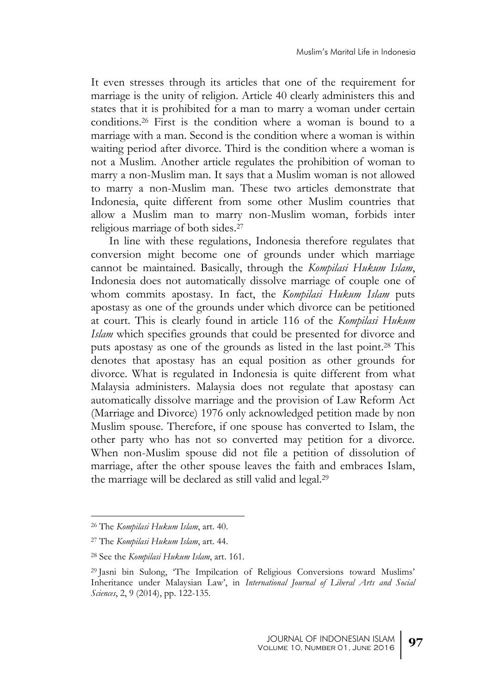It even stresses through its articles that one of the requirement for marriage is the unity of religion. Article 40 clearly administers this and states that it is prohibited for a man to marry a woman under certain conditions.<sup>26</sup> First is the condition where a woman is bound to a marriage with a man. Second is the condition where a woman is within waiting period after divorce. Third is the condition where a woman is not a Muslim. Another article regulates the prohibition of woman to marry a non-Muslim man. It says that a Muslim woman is not allowed to marry a non-Muslim man. These two articles demonstrate that Indonesia, quite different from some other Muslim countries that allow a Muslim man to marry non-Muslim woman, forbids inter religious marriage of both sides.<sup>27</sup>

In line with these regulations, Indonesia therefore regulates that conversion might become one of grounds under which marriage cannot be maintained. Basically, through the *Kompilasi Hukum Islam*, Indonesia does not automatically dissolve marriage of couple one of whom commits apostasy. In fact, the *Kompilasi Hukum Islam* puts apostasy as one of the grounds under which divorce can be petitioned at court. This is clearly found in article 116 of the *Kompilasi Hukum Islam* which specifies grounds that could be presented for divorce and puts apostasy as one of the grounds as listed in the last point. <sup>28</sup> This denotes that apostasy has an equal position as other grounds for divorce. What is regulated in Indonesia is quite different from what Malaysia administers. Malaysia does not regulate that apostasy can automatically dissolve marriage and the provision of Law Reform Act (Marriage and Divorce) 1976 only acknowledged petition made by non Muslim spouse. Therefore, if one spouse has converted to Islam, the other party who has not so converted may petition for a divorce. When non-Muslim spouse did not file a petition of dissolution of marriage, after the other spouse leaves the faith and embraces Islam, the marriage will be declared as still valid and legal.<sup>29</sup>

<sup>26</sup> The *Kompilasi Hukum Islam*, art. 40.

<sup>27</sup> The *Kompilasi Hukum Islam*, art. 44.

<sup>28</sup> See the *Kompilasi Hukum Islam*, art. 161.

<sup>29</sup> Jasni bin Sulong, 'The Impilcation of Religious Conversions toward Muslims' Inheritance under Malaysian Law', in *International Journal of Liberal Arts and Social Sciences*, 2, 9 (2014), pp. 122-135.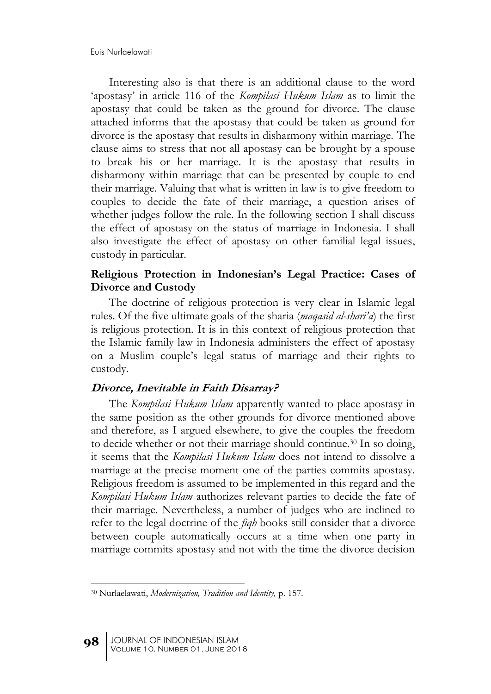Interesting also is that there is an additional clause to the word 'apostasy' in article 116 of the *Kompilasi Hukum Islam* as to limit the apostasy that could be taken as the ground for divorce. The clause attached informs that the apostasy that could be taken as ground for divorce is the apostasy that results in disharmony within marriage. The clause aims to stress that not all apostasy can be brought by a spouse to break his or her marriage. It is the apostasy that results in disharmony within marriage that can be presented by couple to end their marriage. Valuing that what is written in law is to give freedom to couples to decide the fate of their marriage, a question arises of whether judges follow the rule. In the following section I shall discuss the effect of apostasy on the status of marriage in Indonesia. I shall also investigate the effect of apostasy on other familial legal issues, custody in particular.

### **Religious Protection in Indonesian's Legal Practice: Cases of Divorce and Custody**

The doctrine of religious protection is very clear in Islamic legal rules. Of the five ultimate goals of the sharia (*maqasid al-shari'a*) the first is religious protection. It is in this context of religious protection that the Islamic family law in Indonesia administers the effect of apostasy on a Muslim couple's legal status of marriage and their rights to custody.

#### **Divorce, Inevitable in Faith Disarray?**

The *Kompilasi Hukum Islam* apparently wanted to place apostasy in the same position as the other grounds for divorce mentioned above and therefore, as I argued elsewhere, to give the couples the freedom to decide whether or not their marriage should continue.<sup>30</sup> In so doing, it seems that the *Kompilasi Hukum Islam* does not intend to dissolve a marriage at the precise moment one of the parties commits apostasy. Religious freedom is assumed to be implemented in this regard and the *Kompilasi Hukum Islam* authorizes relevant parties to decide the fate of their marriage. Nevertheless, a number of judges who are inclined to refer to the legal doctrine of the *fiqh* books still consider that a divorce between couple automatically occurs at a time when one party in marriage commits apostasy and not with the time the divorce decision

<sup>1</sup> <sup>30</sup> Nurlaelawati, *Modernization, Tradition and Identity,* p. 157*.*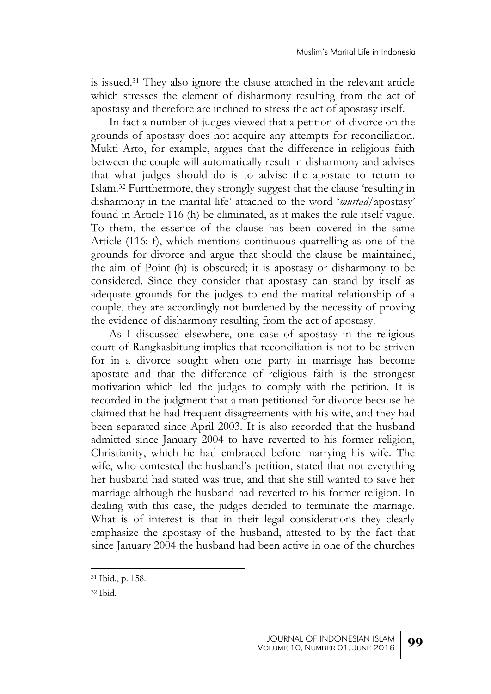is issued.<sup>31</sup> They also ignore the clause attached in the relevant article which stresses the element of disharmony resulting from the act of apostasy and therefore are inclined to stress the act of apostasy itself.

In fact a number of judges viewed that a petition of divorce on the grounds of apostasy does not acquire any attempts for reconciliation. Mukti Arto, for example, argues that the difference in religious faith between the couple will automatically result in disharmony and advises that what judges should do is to advise the apostate to return to Islam.<sup>32</sup> Furtthermore, they strongly suggest that the clause 'resulting in disharmony in the marital life' attached to the word '*murtad*/apostasy' found in Article 116 (h) be eliminated, as it makes the rule itself vague. To them, the essence of the clause has been covered in the same Article (116: f), which mentions continuous quarrelling as one of the grounds for divorce and argue that should the clause be maintained, the aim of Point (h) is obscured; it is apostasy or disharmony to be considered. Since they consider that apostasy can stand by itself as adequate grounds for the judges to end the marital relationship of a couple, they are accordingly not burdened by the necessity of proving the evidence of disharmony resulting from the act of apostasy.

As I discussed elsewhere, one case of apostasy in the religious court of Rangkasbitung implies that reconciliation is not to be striven for in a divorce sought when one party in marriage has become apostate and that the difference of religious faith is the strongest motivation which led the judges to comply with the petition. It is recorded in the judgment that a man petitioned for divorce because he claimed that he had frequent disagreements with his wife, and they had been separated since April 2003. It is also recorded that the husband admitted since January 2004 to have reverted to his former religion, Christianity, which he had embraced before marrying his wife. The wife, who contested the husband's petition, stated that not everything her husband had stated was true, and that she still wanted to save her marriage although the husband had reverted to his former religion. In dealing with this case, the judges decided to terminate the marriage. What is of interest is that in their legal considerations they clearly emphasize the apostasy of the husband, attested to by the fact that since January 2004 the husband had been active in one of the churches

<sup>31</sup> Ibid., p. 158.

<sup>32</sup> Ibid.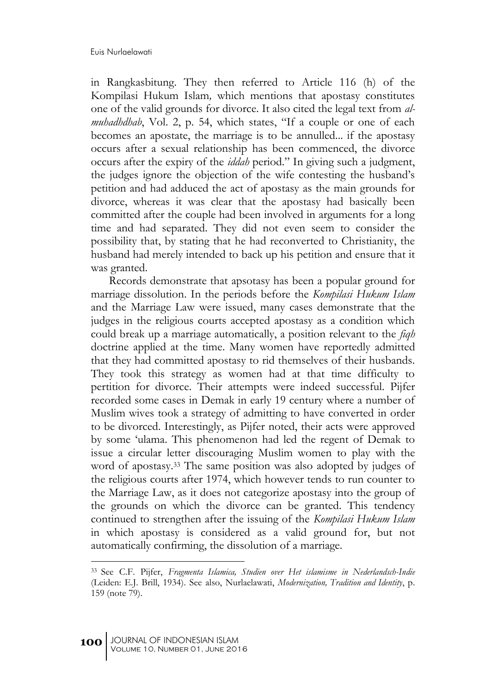in Rangkasbitung. They then referred to Article 116 (h) of the Kompilasi Hukum Islam*,* which mentions that apostasy constitutes one of the valid grounds for divorce. It also cited the legal text from *almuhadhdhab*, Vol. 2, p. 54, which states, "If a couple or one of each becomes an apostate, the marriage is to be annulled... if the apostasy occurs after a sexual relationship has been commenced, the divorce occurs after the expiry of the *iddah* period." In giving such a judgment, the judges ignore the objection of the wife contesting the husband's petition and had adduced the act of apostasy as the main grounds for divorce, whereas it was clear that the apostasy had basically been committed after the couple had been involved in arguments for a long time and had separated. They did not even seem to consider the possibility that, by stating that he had reconverted to Christianity, the husband had merely intended to back up his petition and ensure that it was granted.

Records demonstrate that apsotasy has been a popular ground for marriage dissolution. In the periods before the *Kompilasi Hukum Islam* and the Marriage Law were issued, many cases demonstrate that the judges in the religious courts accepted apostasy as a condition which could break up a marriage automatically, a position relevant to the *fiqh* doctrine applied at the time. Many women have reportedly admitted that they had committed apostasy to rid themselves of their husbands. They took this strategy as women had at that time difficulty to pertition for divorce. Their attempts were indeed successful. Pijfer recorded some cases in Demak in early 19 century where a number of Muslim wives took a strategy of admitting to have converted in order to be divorced. Interestingly, as Pijfer noted, their acts were approved by some 'ulama. This phenomenon had led the regent of Demak to issue a circular letter discouraging Muslim women to play with the word of apostasy.<sup>33</sup> The same position was also adopted by judges of the religious courts after 1974, which however tends to run counter to the Marriage Law, as it does not categorize apostasy into the group of the grounds on which the divorce can be granted. This tendency continued to strengthen after the issuing of the *Kompilasi Hukum Islam* in which apostasy is considered as a valid ground for, but not automatically confirming, the dissolution of a marriage.

<sup>33</sup> See C.F. Pijfer, *Fragmenta Islamica, Studien over Het islamisme in Nederlandsch-Indie* (Leiden: E.J. Brill, 1934). See also, Nurlaelawati, *Modernization, Tradition and Identity*, p. 159 (note 79).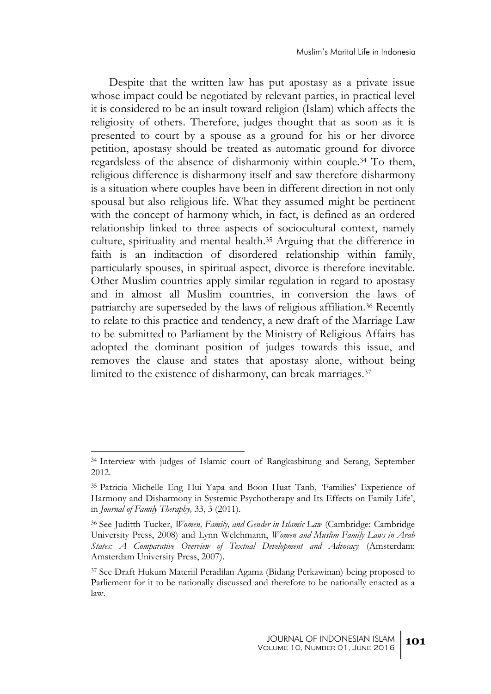Despite that the written law has put apostasy as a private issue whose impact could be negotiated by relevant parties, in practical level it is considered to be an insult toward religion (Islam) which affects the religiosity of others. Therefore, judges thought that as soon as it is presented to court by a spouse as a ground for his or her divorce petition, apostasy should be treated as automatic ground for divorce regardsless of the absence of disharmoniy within couple.<sup>34</sup> To them, religious difference is disharmony itself and saw therefore disharmony is a situation where couples have been in different direction in not only spousal but also religious life. What they assumed might be pertinent with the concept of harmony which, in fact, is defined as an ordered relationship linked to three aspects of sociocultural context, namely culture, spirituality and mental health. <sup>35</sup> Arguing that the difference in faith is an inditaction of disordered relationship within family, particularly spouses, in spiritual aspect, divorce is therefore inevitable. Other Muslim countries apply similar regulation in regard to apostasy and in almost all Muslim countries, in conversion the laws of patriarchy are superseded by the laws of religious affiliation.<sup>36</sup> Recently to relate to this practice and tendency, a new draft of the Marriage Law to be submitted to Parliament by the Ministry of Religious Affairs has adopted the dominant position of judges towards this issue, and removes the clause and states that apostasy alone, without being limited to the existence of disharmony, can break marriages.<sup>37</sup>

<sup>34</sup> Interview with judges of Islamic court of Rangkasbitung and Serang, September 2012.

<sup>35</sup> Patricia Michelle Eng Hui Yapa and Boon Huat Tanb, 'Families' Experience of Harmony and Disharmony in Systemic Psychotherapy and Its Effects on Family Life', in *Journal of Family Theraphy,* 33, 3 (2011).

<sup>36</sup> See Juditth Tucker, *Women, Family, and Gender in Islamic Law* (Cambridge: Cambridge University Press, 2008) and Lynn Welchmann, *Women and Muslim Family Laws in Arab States: A Comparative Overview of Textual Development and Advocacy* (Amsterdam: Amsterdam University Press, 2007).

<sup>37</sup> See Draft Hukum Materiil Peradilan Agama (Bidang Perkawinan) being proposed to Parliement for it to be nationally discussed and therefore to be nationally enacted as a law.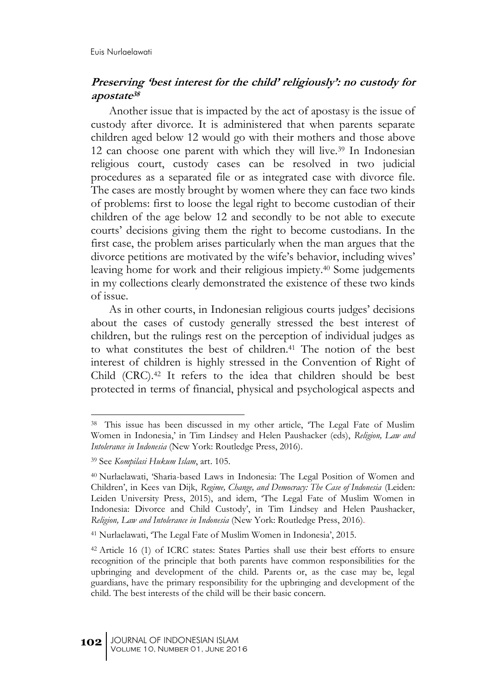### **Preserving 'best interest for the child' religiously': no custody for apostate<sup>38</sup>**

Another issue that is impacted by the act of apostasy is the issue of custody after divorce. It is administered that when parents separate children aged below 12 would go with their mothers and those above 12 can choose one parent with which they will live.<sup>39</sup> In Indonesian religious court, custody cases can be resolved in two judicial procedures as a separated file or as integrated case with divorce file. The cases are mostly brought by women where they can face two kinds of problems: first to loose the legal right to become custodian of their children of the age below 12 and secondly to be not able to execute courts' decisions giving them the right to become custodians. In the first case, the problem arises particularly when the man argues that the divorce petitions are motivated by the wife's behavior, including wives' leaving home for work and their religious impiety. <sup>40</sup> Some judgements in my collections clearly demonstrated the existence of these two kinds of issue.

As in other courts, in Indonesian religious courts judges' decisions about the cases of custody generally stressed the best interest of children, but the rulings rest on the perception of individual judges as to what constitutes the best of children.<sup>41</sup> The notion of the best interest of children is highly stressed in the Convention of Right of Child (CRC).<sup>42</sup> It refers to the idea that children should be best protected in terms of financial, physical and psychological aspects and

<sup>38</sup> This issue has been discussed in my other article, 'The Legal Fate of Muslim Women in Indonesia,' in Tim Lindsey and Helen Paushacker (eds), *Religion, Law and Intolerance in Indonesia* (New York: Routledge Press, 2016).

<sup>39</sup> See *Kompilasi Hukum Islam*, art. 105.

<sup>40</sup> Nurlaelawati, 'Sharia-based Laws in Indonesia: The Legal Position of Women and Children', in Kees van Dijk, *Regime, Change, and Democracy: The Case of Indonesia* (Leiden: Leiden University Press, 2015), and idem, 'The Legal Fate of Muslim Women in Indonesia: Divorce and Child Custody', in Tim Lindsey and Helen Paushacker, *Religion, Law and Intolerance in Indonesia* (New York: Routledge Press, 2016).

<sup>41</sup> Nurlaelawati, 'The Legal Fate of Muslim Women in Indonesia', 2015.

<sup>42</sup> Article 16 (1) of ICRC states: States Parties shall use their best efforts to ensure recognition of the principle that both parents have common responsibilities for the upbringing and development of the child. Parents or, as the case may be, legal guardians, have the primary responsibility for the upbringing and development of the child. The best interests of the child will be their basic concern.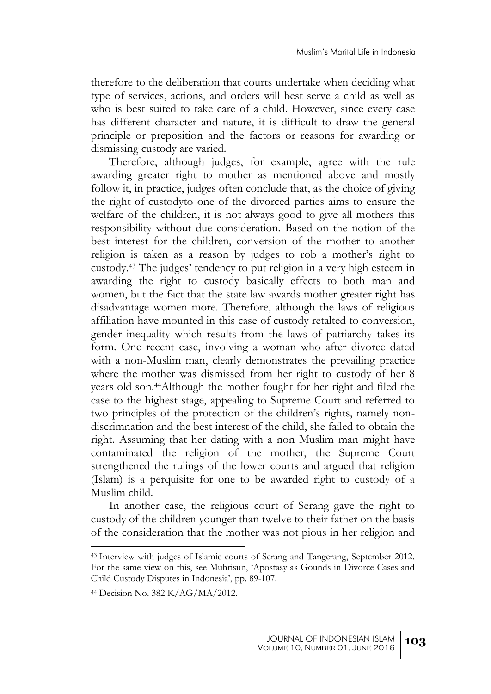therefore to the deliberation that courts undertake when deciding what type of services, actions, and orders will best serve a child as well as who is best suited to take care of a child. However, since every case has different character and nature, it is difficult to draw the general principle or preposition and the factors or reasons for awarding or dismissing custody are varied.

Therefore, although judges, for example, agree with the rule awarding greater right to mother as mentioned above and mostly follow it, in practice, judges often conclude that, as the choice of giving the right of custodyto one of the divorced parties aims to ensure the welfare of the children, it is not always good to give all mothers this responsibility without due consideration. Based on the notion of the best interest for the children, conversion of the mother to another religion is taken as a reason by judges to rob a mother's right to custody.<sup>43</sup> The judges' tendency to put religion in a very high esteem in awarding the right to custody basically effects to both man and women, but the fact that the state law awards mother greater right has disadvantage women more. Therefore, although the laws of religious affiliation have mounted in this case of custody retalted to conversion, gender inequality which results from the laws of patriarchy takes its form. One recent case, involving a woman who after divorce dated with a non-Muslim man, clearly demonstrates the prevailing practice where the mother was dismissed from her right to custody of her 8 years old son.44Although the mother fought for her right and filed the case to the highest stage, appealing to Supreme Court and referred to two principles of the protection of the children's rights, namely nondiscrimnation and the best interest of the child, she failed to obtain the right. Assuming that her dating with a non Muslim man might have contaminated the religion of the mother, the Supreme Court strengthened the rulings of the lower courts and argued that religion (Islam) is a perquisite for one to be awarded right to custody of a Muslim child.

In another case, the religious court of Serang gave the right to custody of the children younger than twelve to their father on the basis of the consideration that the mother was not pious in her religion and

<sup>43</sup> Interview with judges of Islamic courts of Serang and Tangerang, September 2012. For the same view on this, see Muhrisun, 'Apostasy as Gounds in Divorce Cases and Child Custody Disputes in Indonesia', pp. 89-107.

<sup>44</sup> Decision No. 382 K/AG/MA/2012.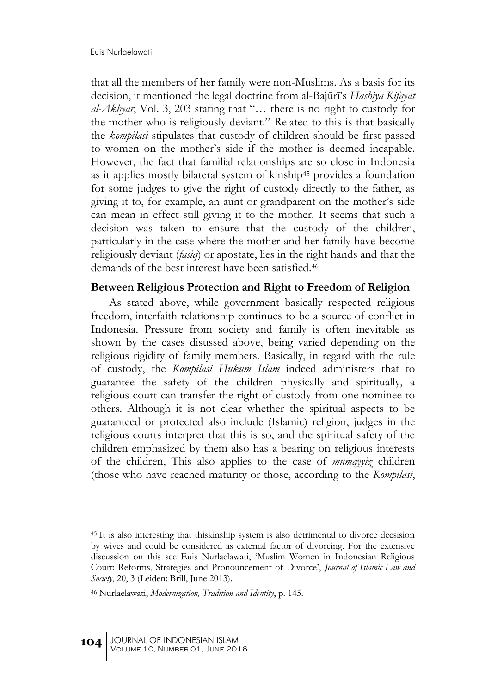that all the members of her family were non-Muslims. As a basis for its decision, it mentioned the legal doctrine from al-Bajūrī's *Hashiya Kifayat al-Akhyar*, Vol. 3, 203 stating that "… there is no right to custody for the mother who is religiously deviant." Related to this is that basically the *kompilasi* stipulates that custody of children should be first passed to women on the mother's side if the mother is deemed incapable. However, the fact that familial relationships are so close in Indonesia as it applies mostly bilateral system of kinship<sup>45</sup> provides a foundation for some judges to give the right of custody directly to the father, as giving it to, for example, an aunt or grandparent on the mother's side can mean in effect still giving it to the mother. It seems that such a decision was taken to ensure that the custody of the children, particularly in the case where the mother and her family have become religiously deviant (*fasiq*) or apostate, lies in the right hands and that the demands of the best interest have been satisfied.<sup>46</sup>

#### **Between Religious Protection and Right to Freedom of Religion**

As stated above, while government basically respected religious freedom, interfaith relationship continues to be a source of conflict in Indonesia. Pressure from society and family is often inevitable as shown by the cases disussed above, being varied depending on the religious rigidity of family members. Basically, in regard with the rule of custody, the *Kompilasi Hukum Islam* indeed administers that to guarantee the safety of the children physically and spiritually, a religious court can transfer the right of custody from one nominee to others. Although it is not clear whether the spiritual aspects to be guaranteed or protected also include (Islamic) religion, judges in the religious courts interpret that this is so, and the spiritual safety of the children emphasized by them also has a bearing on religious interests of the children, This also applies to the case of *mumayyiz* children (those who have reached maturity or those, according to the *Kompilasi*,

<sup>45</sup> It is also interesting that thiskinship system is also detrimental to divorce decsision by wives and could be considered as external factor of divorcing. For the extensive discussion on this see Euis Nurlaelawati, 'Muslim Women in Indonesian Religious Court: Reforms, Strategies and Pronouncement of Divorce', *Journal of Islamic Law and Society*, 20, 3 (Leiden: Brill, June 2013).

<sup>46</sup> Nurlaelawati, *Modernization, Tradition and Identity*, p. 145.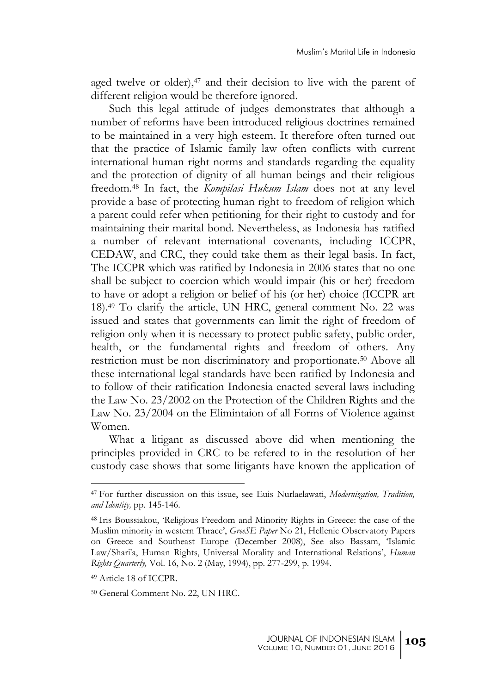aged twelve or older), $47$  and their decision to live with the parent of different religion would be therefore ignored.

Such this legal attitude of judges demonstrates that although a number of reforms have been introduced religious doctrines remained to be maintained in a very high esteem. It therefore often turned out that the practice of Islamic family law often conflicts with current international human right norms and standards regarding the equality and the protection of dignity of all human beings and their religious freedom.<sup>48</sup> In fact, the *Kompilasi Hukum Islam* does not at any level provide a base of protecting human right to freedom of religion which a parent could refer when petitioning for their right to custody and for maintaining their marital bond. Nevertheless, as Indonesia has ratified a number of relevant international covenants, including ICCPR, CEDAW, and CRC, they could take them as their legal basis. In fact, The ICCPR which was ratified by Indonesia in 2006 states that no one shall be subject to coercion which would impair (his or her) freedom to have or adopt a religion or belief of his (or her) choice (ICCPR art 18).<sup>49</sup> To clarify the article, UN HRC, general comment No. 22 was issued and states that governments can limit the right of freedom of religion only when it is necessary to protect public safety, public order, health, or the fundamental rights and freedom of others. Any restriction must be non discriminatory and proportionate.<sup>50</sup> Above all these international legal standards have been ratified by Indonesia and to follow of their ratification Indonesia enacted several laws including the Law No. 23/2002 on the Protection of the Children Rights and the Law No. 23/2004 on the Elimintaion of all Forms of Violence against Women.

What a litigant as discussed above did when mentioning the principles provided in CRC to be refered to in the resolution of her custody case shows that some litigants have known the application of

<sup>47</sup> For further discussion on this issue, see Euis Nurlaelawati, *Modernization, Tradition, and Identity,* pp. 145-146.

<sup>48</sup> Iris Boussiakou, 'Religious Freedom and Minority Rights in Greece: the case of the Muslim minority in western Thrace', *GreeSE Paper* No 21, Hellenic Observatory Papers on Greece and Southeast Europe (December 2008), See also Bassam, 'Islamic Law/Shari'a, Human Rights, Universal Morality and International Relations', *Human Rights Quarterly,* Vol. 16, No. 2 (May, 1994), pp. 277-299, p. 1994.

<sup>49</sup> Article 18 of ICCPR.

<sup>50</sup> General Comment No. 22, UN HRC.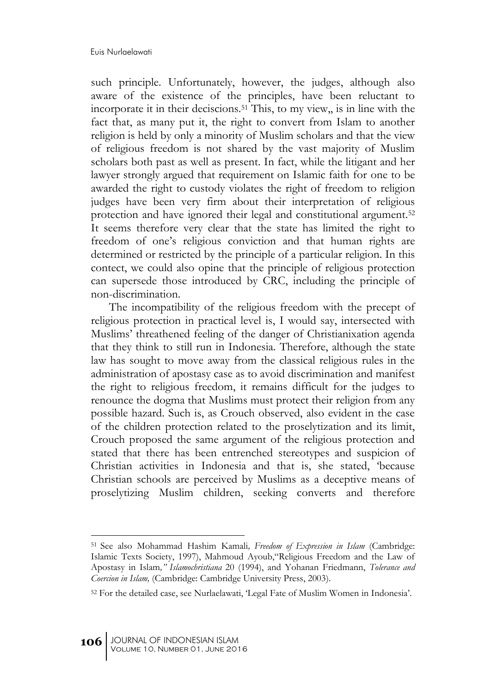such principle. Unfortunately, however, the judges, although also aware of the existence of the principles, have been reluctant to incorporate it in their deciscions.<sup>51</sup> This, to my view,, is in line with the fact that, as many put it, the right to convert from Islam to another religion is held by only a minority of Muslim scholars and that the view of religious freedom is not shared by the vast majority of Muslim scholars both past as well as present. In fact, while the litigant and her lawyer strongly argued that requirement on Islamic faith for one to be awarded the right to custody violates the right of freedom to religion judges have been very firm about their interpretation of religious protection and have ignored their legal and constitutional argument.<sup>52</sup> It seems therefore very clear that the state has limited the right to freedom of one's religious conviction and that human rights are determined or restricted by the principle of a particular religion. In this contect, we could also opine that the principle of religious protection can supersede those introduced by CRC, including the principle of non-discrimination.

The incompatibility of the religious freedom with the precept of religious protection in practical level is, I would say, intersected with Muslims' threathened feeling of the danger of Christianixation agenda that they think to still run in Indonesia. Therefore, although the state law has sought to move away from the classical religious rules in the administration of apostasy case as to avoid discrimination and manifest the right to religious freedom, it remains difficult for the judges to renounce the dogma that Muslims must protect their religion from any possible hazard. Such is, as Crouch observed, also evident in the case of the children protection related to the proselytization and its limit, Crouch proposed the same argument of the religious protection and stated that there has been entrenched stereotypes and suspicion of Christian activities in Indonesia and that is, she stated, 'because Christian schools are perceived by Muslims as a deceptive means of proselytizing Muslim children, seeking converts and therefore

<sup>51</sup> See also Mohammad Hashim Kamali*, Freedom of Expression in Islam* (Cambridge: Islamic Texts Society, 1997), Mahmoud Ayoub,"Religious Freedom and the Law of Apostasy in Islam*," Islamochristiana* 20 (1994), and Yohanan Friedmann, *Tolerance and Coercion in Islam,* (Cambridge: Cambridge University Press, 2003).

<sup>52</sup> For the detailed case, see Nurlaelawati, 'Legal Fate of Muslim Women in Indonesia'.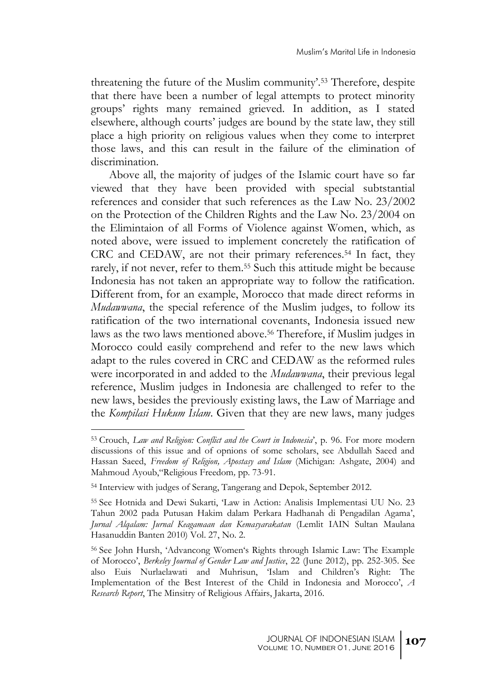threatening the future of the Muslim community'.<sup>53</sup> Therefore, despite that there have been a number of legal attempts to protect minority groups' rights many remained grieved. In addition, as I stated elsewhere, although courts' judges are bound by the state law, they still place a high priority on religious values when they come to interpret those laws, and this can result in the failure of the elimination of discrimination.

Above all, the majority of judges of the Islamic court have so far viewed that they have been provided with special subtstantial references and consider that such references as the Law No. 23/2002 on the Protection of the Children Rights and the Law No. 23/2004 on the Elimintaion of all Forms of Violence against Women, which, as noted above, were issued to implement concretely the ratification of CRC and CEDAW, are not their primary references.<sup>54</sup> In fact, they rarely, if not never, refer to them.<sup>55</sup> Such this attitude might be because Indonesia has not taken an appropriate way to follow the ratification. Different from, for an example, Morocco that made direct reforms in *Mudawwana*, the special reference of the Muslim judges, to follow its ratification of the two international covenants, Indonesia issued new laws as the two laws mentioned above. <sup>56</sup> Therefore, if Muslim judges in Morocco could easily comprehend and refer to the new laws which adapt to the rules covered in CRC and CEDAW as the reformed rules were incorporated in and added to the *Mudawwana*, their previous legal reference, Muslim judges in Indonesia are challenged to refer to the new laws, besides the previously existing laws, the Law of Marriage and the *Kompilasi Hukum Islam*. Given that they are new laws, many judges

<sup>53</sup> Crouch, *Law and Religion: Conflict and the Court in Indonesia*', p. 96. For more modern discussions of this issue and of opnions of some scholars, see Abdullah Saeed and Hassan Saeed, *Freedom of Religion, Apostasy and Islam* (Michigan: Ashgate, 2004) and Mahmoud Ayoub,"Religious Freedom*,* pp. 73-91.

<sup>54</sup> Interview with judges of Serang, Tangerang and Depok, September 2012.

<sup>55</sup> See Hotnida and Dewi Sukarti, 'Law in Action: Analisis Implementasi UU No. 23 Tahun 2002 pada Putusan Hakim dalam Perkara Hadhanah di Pengadilan Agama', *Jurnal Alqalam: Jurnal Keagamaan dan Kemasyarakatan* (Lemlit IAIN Sultan Maulana Hasanuddin Banten 2010) Vol. 27, No. 2.

<sup>56</sup> See John Hursh, 'Advancong Women's Rights through Islamic Law: The Example of Morocco', *Berkeley Journal of Gender Law and Justice*, 22 (June 2012), pp. 252-305. See also Euis Nurlaelawati and Muhrisun, 'Islam and Children's Right: The Implementation of the Best Interest of the Child in Indonesia and Morocco', *A Research Report*, The Minsitry of Religious Affairs, Jakarta, 2016.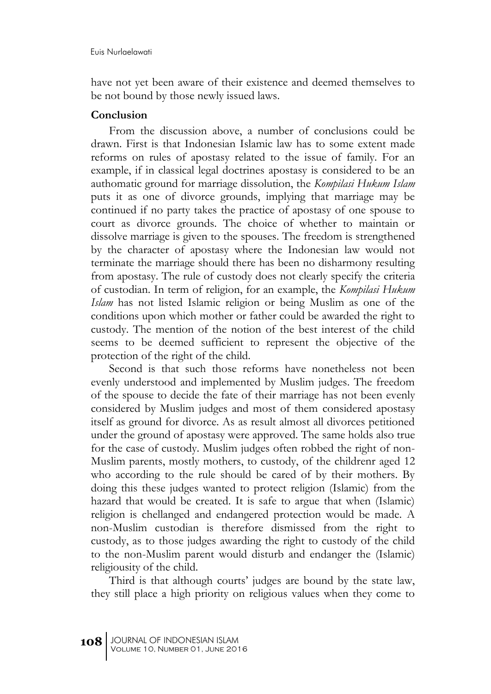have not yet been aware of their existence and deemed themselves to be not bound by those newly issued laws.

#### **Conclusion**

From the discussion above, a number of conclusions could be drawn. First is that Indonesian Islamic law has to some extent made reforms on rules of apostasy related to the issue of family. For an example, if in classical legal doctrines apostasy is considered to be an authomatic ground for marriage dissolution, the *Kompilasi Hukum Islam* puts it as one of divorce grounds, implying that marriage may be continued if no party takes the practice of apostasy of one spouse to court as divorce grounds. The choice of whether to maintain or dissolve marriage is given to the spouses. The freedom is strengthened by the character of apostasy where the Indonesian law would not terminate the marriage should there has been no disharmony resulting from apostasy. The rule of custody does not clearly specify the criteria of custodian. In term of religion, for an example, the *Kompilasi Hukum Islam* has not listed Islamic religion or being Muslim as one of the conditions upon which mother or father could be awarded the right to custody. The mention of the notion of the best interest of the child seems to be deemed sufficient to represent the objective of the protection of the right of the child.

Second is that such those reforms have nonetheless not been evenly understood and implemented by Muslim judges. The freedom of the spouse to decide the fate of their marriage has not been evenly considered by Muslim judges and most of them considered apostasy itself as ground for divorce. As as result almost all divorces petitioned under the ground of apostasy were approved. The same holds also true for the case of custody. Muslim judges often robbed the right of non-Muslim parents, mostly mothers, to custody, of the childrenr aged 12 who according to the rule should be cared of by their mothers. By doing this these judges wanted to protect religion (Islamic) from the hazard that would be created. It is safe to argue that when (Islamic) religion is chellanged and endangered protection would be made. A non-Muslim custodian is therefore dismissed from the right to custody, as to those judges awarding the right to custody of the child to the non-Muslim parent would disturb and endanger the (Islamic) religiousity of the child.

Third is that although courts' judges are bound by the state law, they still place a high priority on religious values when they come to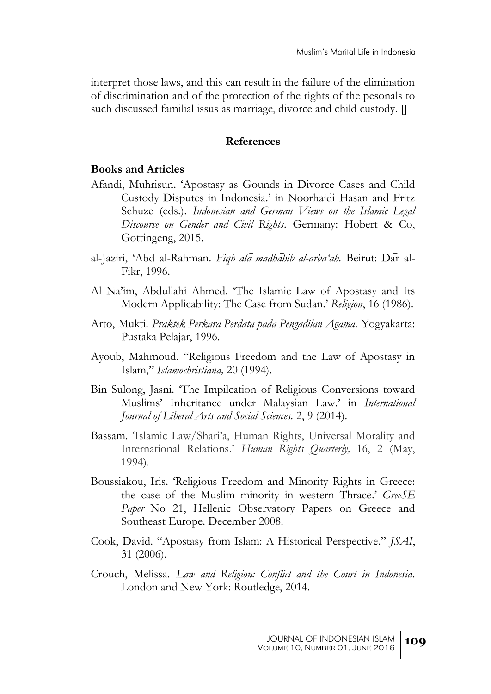interpret those laws, and this can result in the failure of the elimination of discrimination and of the protection of the rights of the pesonals to such discussed familial issus as marriage, divorce and child custody.  $\parallel$ 

#### **References**

#### **Books and Articles**

- Afandi, Muhrisun. 'Apostasy as Gounds in Divorce Cases and Child Custody Disputes in Indonesia.' in Noorhaidi Hasan and Fritz Schuze (eds.). *Indonesian and German Views on the Islamic Legal Discourse on Gender and Civil Rights*. Germany: Hobert & Co, Gottingeng, 2015.
- al-Jaziri, 'Abd al-Rahman. *Fiqh ala madhahib al-arba'ah*. Beirut: Dar al-Fikr, 1996.
- Al Na'im, Abdullahi Ahmed. 'The Islamic Law of Apostasy and Its Modern Applicability: The Case from Sudan.' *Religion*, 16 (1986).
- Arto, Mukti. *Praktek Perkara Perdata pada Pengadilan Agama*. Yogyakarta: Pustaka Pelajar, 1996.
- Ayoub, Mahmoud. "Religious Freedom and the Law of Apostasy in Islam," *Islamochristiana,* 20 (1994).
- Bin Sulong, Jasni. 'The Impilcation of Religious Conversions toward Muslims' Inheritance under Malaysian Law.' in *International Journal of Liberal Arts and Social Sciences.* 2, 9 (2014).
- Bassam. 'Islamic Law/Shari'a, Human Rights, Universal Morality and International Relations.' *Human Rights Quarterly,* 16, 2 (May, 1994).
- Boussiakou, Iris. 'Religious Freedom and Minority Rights in Greece: the case of the Muslim minority in western Thrace.' *GreeSE*  Paper No 21, Hellenic Observatory Papers on Greece and Southeast Europe. December 2008.
- Cook, David. "Apostasy from Islam: A Historical Perspective." *JSAI*, 31 (2006).
- Crouch, Melissa. *Law and Religion: Conflict and the Court in Indonesia*. London and New York: Routledge, 2014.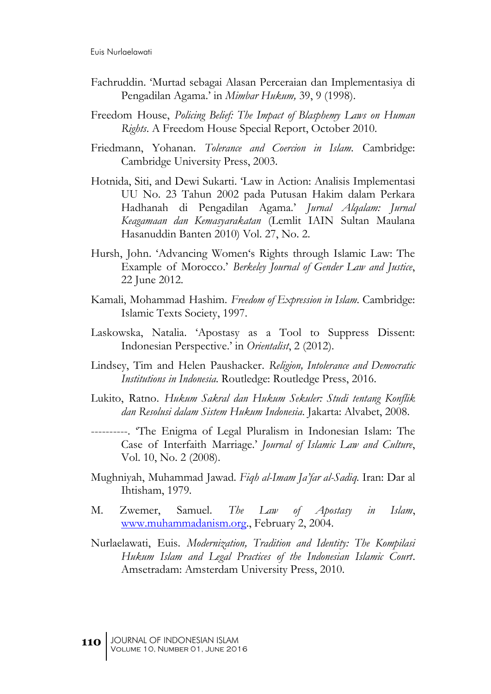- Fachruddin. 'Murtad sebagai Alasan Perceraian dan Implementasiya di Pengadilan Agama.' in *Mimbar Hukum,* 39, 9 (1998).
- Freedom House, *Policing Belief: The Impact of Blasphemy Laws on Human Rights*. A Freedom House Special Report, October 2010.
- Friedmann, Yohanan. *Tolerance and Coercion in Islam.* Cambridge: Cambridge University Press, 2003.
- Hotnida, Siti, and Dewi Sukarti. 'Law in Action: Analisis Implementasi UU No. 23 Tahun 2002 pada Putusan Hakim dalam Perkara Hadhanah di Pengadilan Agama.' *Jurnal Alqalam: Jurnal Keagamaan dan Kemasyarakatan* (Lemlit IAIN Sultan Maulana Hasanuddin Banten 2010) Vol. 27, No. 2.
- Hursh, John. 'Advancing Women's Rights through Islamic Law: The Example of Morocco.' *Berkeley Journal of Gender Law and Justice*, 22 June 2012.
- Kamali, Mohammad Hashim. *Freedom of Expression in Islam.* Cambridge: Islamic Texts Society, 1997.
- Laskowska, Natalia. 'Apostasy as a Tool to Suppress Dissent: Indonesian Perspective.' in *Orientalist*, 2 (2012).
- Lindsey, Tim and Helen Paushacker. *Religion, Intolerance and Democratic Institutions in Indonesia.* Routledge: Routledge Press, 2016.
- Lukito, Ratno. *Hukum Sakral dan Hukum Sekuler: Studi tentang Konflik dan Resolusi dalam Sistem Hukum Indonesia*. Jakarta: Alvabet, 2008.
- ----------. 'The Enigma of Legal Pluralism in Indonesian Islam: The Case of Interfaith Marriage.' *Journal of Islamic Law and Culture*, Vol. 10, No. 2 (2008).
- Mughniyah, Muhammad Jawad*. Fiqh al-Imam Ja'far al-Sadiq.* Iran: Dar al Ihtisham, 1979*.*
- M. Zwemer, Samuel. *The Law of Apostasy in Islam*, [www.muhammadanism.org.](http://www.muhammadanism.org/), February 2, 2004.
- Nurlaelawati, Euis. *Modernization, Tradition and Identity: The Kompilasi Hukum Islam and Legal Practices of the Indonesian Islamic Court*. Amsetradam: Amsterdam University Press, 2010.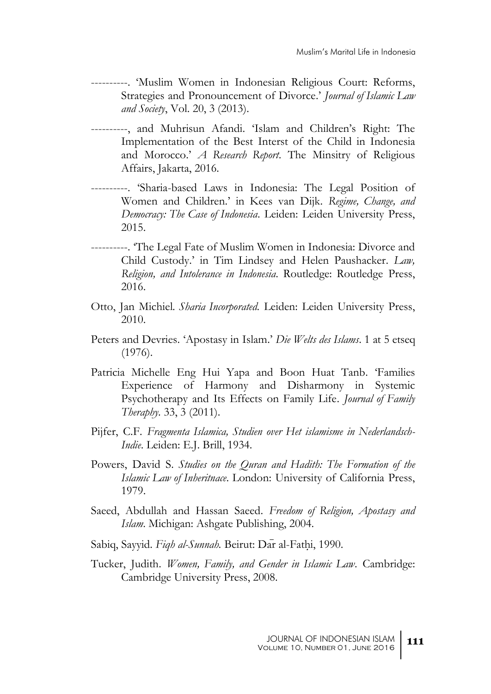- ----------. 'Muslim Women in Indonesian Religious Court: Reforms, Strategies and Pronouncement of Divorce.' *Journal of Islamic Law and Society*, Vol. 20, 3 (2013).
- ----------, and Muhrisun Afandi. 'Islam and Children's Right: The Implementation of the Best Interst of the Child in Indonesia and Morocco.' *A Research Report*. The Minsitry of Religious Affairs, Jakarta, 2016.
- ----------. 'Sharia-based Laws in Indonesia: The Legal Position of Women and Children.' in Kees van Dijk. *Regime, Change, and Democracy: The Case of Indonesia*. Leiden: Leiden University Press, 2015.
- ----------. 'The Legal Fate of Muslim Women in Indonesia: Divorce and Child Custody.' in Tim Lindsey and Helen Paushacker. *Law, Religion, and Intolerance in Indonesia.* Routledge: Routledge Press, 2016.
- Otto, Jan Michiel*. Sharia Incorporated.* Leiden: Leiden University Press, 2010.
- Peters and Devries. 'Apostasy in Islam.' *Die Welts des Islams*. 1 at 5 etseq (1976).
- Patricia Michelle Eng Hui Yapa and Boon Huat Tanb. 'Families Experience of Harmony and Disharmony in Systemic Psychotherapy and Its Effects on Family Life. *Journal of Family Theraphy.* 33, 3 (2011).
- Pijfer, C.F. *Fragmenta Islamica, Studien over Het islamisme in Nederlandsch-Indie*. Leiden: E.J. Brill, 1934.
- Powers, David S. *Studies on the Quran and Hadith: The Formation of the Islamic Law of Inheritnace.* London: University of California Press, 1979.
- Saeed, Abdullah and Hassan Saeed. *Freedom of Religion, Apostasy and Islam.* Michigan: Ashgate Publishing, 2004.
- Sabiq, Sayyid. *Fiqh al-Sunnah*. Beirut: Dar al-Fathi, 1990.
- Tucker, Judith. *Women, Family, and Gender in Islamic Law*. Cambridge: Cambridge University Press, 2008.